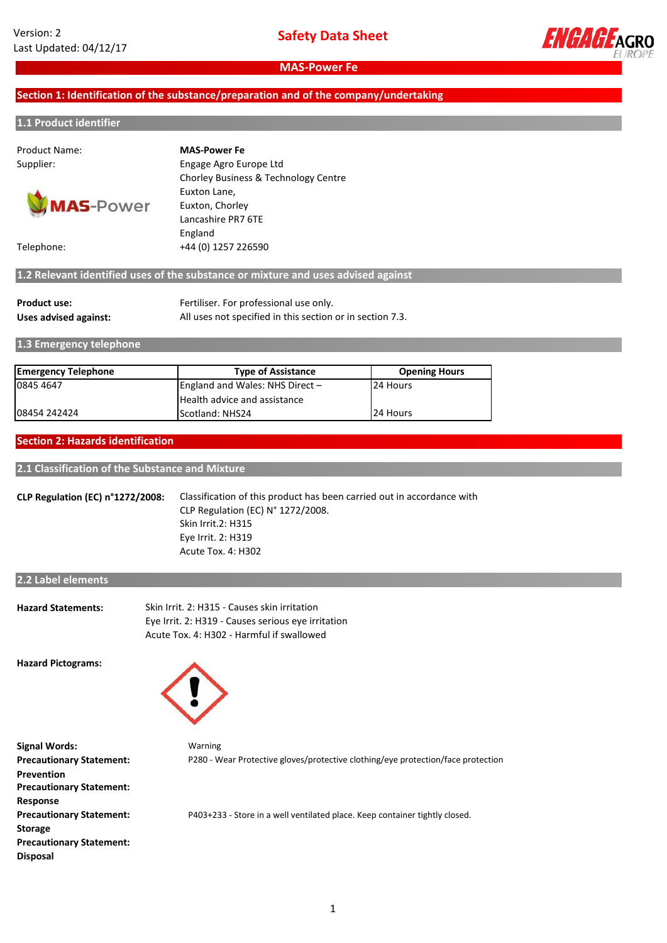

**MAS-Power Fe**

### **Section 1: Identification of the substance/preparation and of the company/undertaking**

#### **1.1 Product identifier**

# Product Name:



Supplier: Engage Agro Europe Ltd Chorley Business & Technology Centre **MAS-Power Fe**

Euxton Lane, Euxton, Chorley Lancashire PR7 6TE England Telephone: +44 (0) 1257 226590

## **1.2 Relevant identified uses of the substance or mixture and uses advised against**

| Product use:          | Fertiliser. For professional use only.                    |
|-----------------------|-----------------------------------------------------------|
| Uses advised against: | All uses not specified in this section or in section 7.3. |

**1.3 Emergency telephone**

| <b>Emergency Telephone</b> | <b>Type of Assistance</b>         | <b>Opening Hours</b> |
|----------------------------|-----------------------------------|----------------------|
| 0845 4647                  | England and Wales: NHS Direct $-$ | 24 Hours             |
|                            | Health advice and assistance      |                      |
| 08454 242424               | Scotland: NHS24                   | 24 Hours             |

#### **Section 2: Hazards identification**

**2.1 Classification of the Substance and Mixture**

**CLP Regulation (EC) n°1272/2008:** Classification of this product has been carried out in accordance with CLP Regulation (EC) N° 1272/2008. Acute Tox. 4: H302 Eye Irrit. 2: H319 Skin Irrit.2: H315

#### **2.2 Label elements**

| <b>Hazard Statements:</b> | Skin Irrit. 2: H315 - Causes skin irritation       |
|---------------------------|----------------------------------------------------|
|                           | Eye Irrit. 2: H319 - Causes serious eye irritation |
|                           | Acute Tox. 4: H302 - Harmful if swallowed          |

**Hazard Pictograms:**



Warning **Signal Words: Precautionary Statement: Prevention Precautionary Statement: Response Precautionary Statement: Storage Precautionary Statement: Disposal**

P280 - Wear Protective gloves/protective clothing/eye protection/face protection

P403+233 - Store in a well ventilated place. Keep container tightly closed.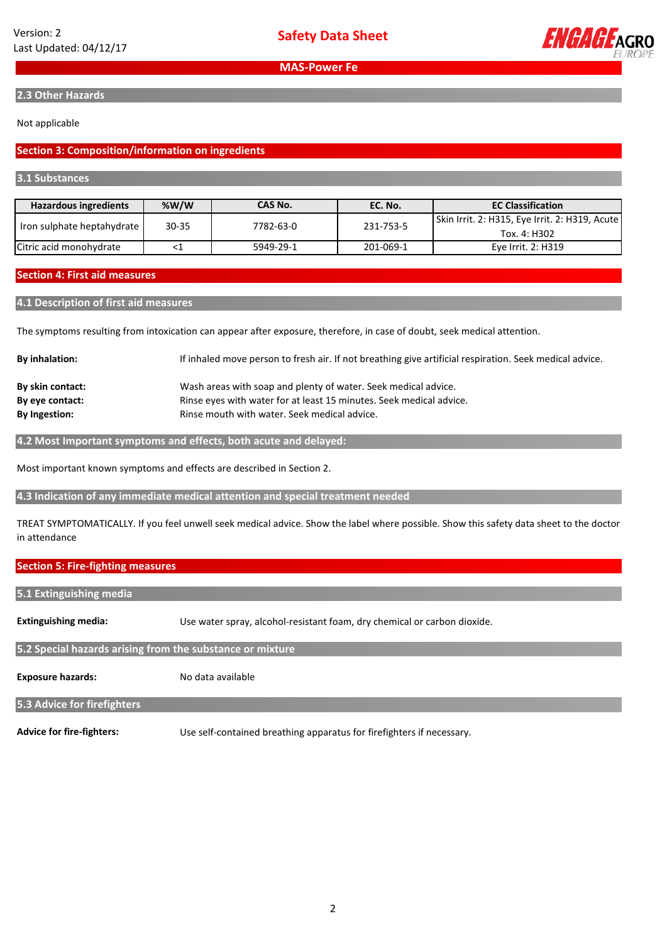

**2.3 Other Hazards**

#### Not applicable

#### **Section 3: Composition/information on ingredients**

#### **3.1 Substances**

| <b>Hazardous ingredients</b> | %W/W  | CAS No.   | EC. No.   | <b>EC Classification</b>                                       |
|------------------------------|-------|-----------|-----------|----------------------------------------------------------------|
| Iron sulphate heptahydrate   | 30-35 | 7782-63-0 | 231-753-5 | Skin Irrit. 2: H315, Eye Irrit. 2: H319, Acute<br>Tox. 4: H302 |
| Citric acid monohydrate      |       | 5949-29-1 | 201-069-1 | Eve Irrit. 2: H319                                             |

#### **Section 4: First aid measures**

#### **4.1 Description of first aid measures**

The symptoms resulting from intoxication can appear after exposure, therefore, in case of doubt, seek medical attention.

| <b>By inhalation:</b> | If inhaled move person to fresh air. If not breathing give artificial respiration. Seek medical advice. |
|-----------------------|---------------------------------------------------------------------------------------------------------|
| By skin contact:      | Wash areas with soap and plenty of water. Seek medical advice.                                          |
| By eye contact:       | Rinse eyes with water for at least 15 minutes. Seek medical advice.                                     |
| <b>By Ingestion:</b>  | Rinse mouth with water. Seek medical advice.                                                            |
|                       |                                                                                                         |

**4.2 Most Important symptoms and effects, both acute and delayed:**

Most important known symptoms and effects are described in Section 2.

**4.3 Indication of any immediate medical attention and special treatment needed**

TREAT SYMPTOMATICALLY. If you feel unwell seek medical advice. Show the label where possible. Show this safety data sheet to the doctor in attendance

#### **Section 5: Fire-fighting measures**

**5.1 Extinguishing media**

**Extinguishing media:** Use water spray, alcohol-resistant foam, dry chemical or carbon dioxide.

**5.2 Special hazards arising from the substance or mixture**

**Exposure hazards:** No data available

#### **5.3 Advice for firefighters**

**Advice for fire-fighters:** Use self-contained breathing apparatus for firefighters if necessary.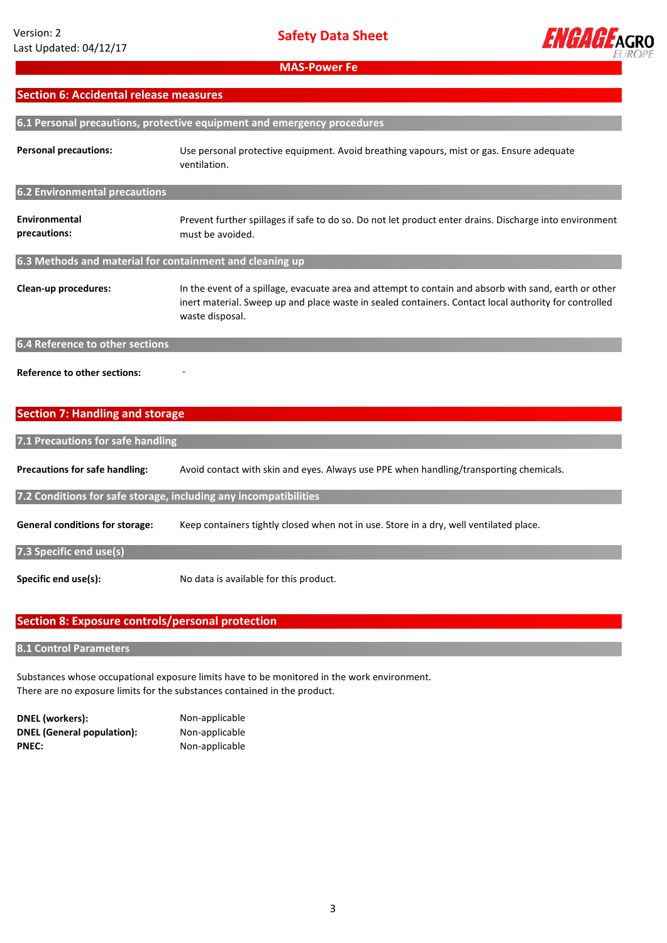

## **Section 6: Accidental release measures**

| 6.1 Personal precautions, protective equipment and emergency procedures |                                                                                                                                                                                                                                   |  |  |
|-------------------------------------------------------------------------|-----------------------------------------------------------------------------------------------------------------------------------------------------------------------------------------------------------------------------------|--|--|
| <b>Personal precautions:</b>                                            | Use personal protective equipment. Avoid breathing vapours, mist or gas. Ensure adequate<br>ventilation.                                                                                                                          |  |  |
| 6.2 Environmental precautions                                           |                                                                                                                                                                                                                                   |  |  |
| Environmental<br>precautions:                                           | Prevent further spillages if safe to do so. Do not let product enter drains. Discharge into environment<br>must be avoided.                                                                                                       |  |  |
| 6.3 Methods and material for containment and cleaning up                |                                                                                                                                                                                                                                   |  |  |
| Clean-up procedures:                                                    | In the event of a spillage, evacuate area and attempt to contain and absorb with sand, earth or other<br>inert material. Sweep up and place waste in sealed containers. Contact local authority for controlled<br>waste disposal. |  |  |
| 6.4 Reference to other sections                                         |                                                                                                                                                                                                                                   |  |  |
| <b>Reference to other sections:</b>                                     |                                                                                                                                                                                                                                   |  |  |

## **Section 7: Handling and storage**

| 7.1 Precautions for safe handling                                |                                                                                        |  |  |  |
|------------------------------------------------------------------|----------------------------------------------------------------------------------------|--|--|--|
| <b>Precautions for safe handling:</b>                            | Avoid contact with skin and eyes. Always use PPE when handling/transporting chemicals. |  |  |  |
| 7.2 Conditions for safe storage, including any incompatibilities |                                                                                        |  |  |  |
| <b>General conditions for storage:</b>                           | Keep containers tightly closed when not in use. Store in a dry, well ventilated place. |  |  |  |
| 7.3 Specific end use(s)                                          |                                                                                        |  |  |  |
| Specific end use(s):                                             | No data is available for this product.                                                 |  |  |  |

## **Section 8: Exposure controls/personal protection**

## **8.1 Control Parameters**

Substances whose occupational exposure limits have to be monitored in the work environment. There are no exposure limits for the substances contained in the product.

| <b>DNEL</b> (workers):            |
|-----------------------------------|
| <b>DNEL (General population):</b> |
| <b>PNEC:</b>                      |

**Non-applicable Non-applicable PNEC:** Non-applicable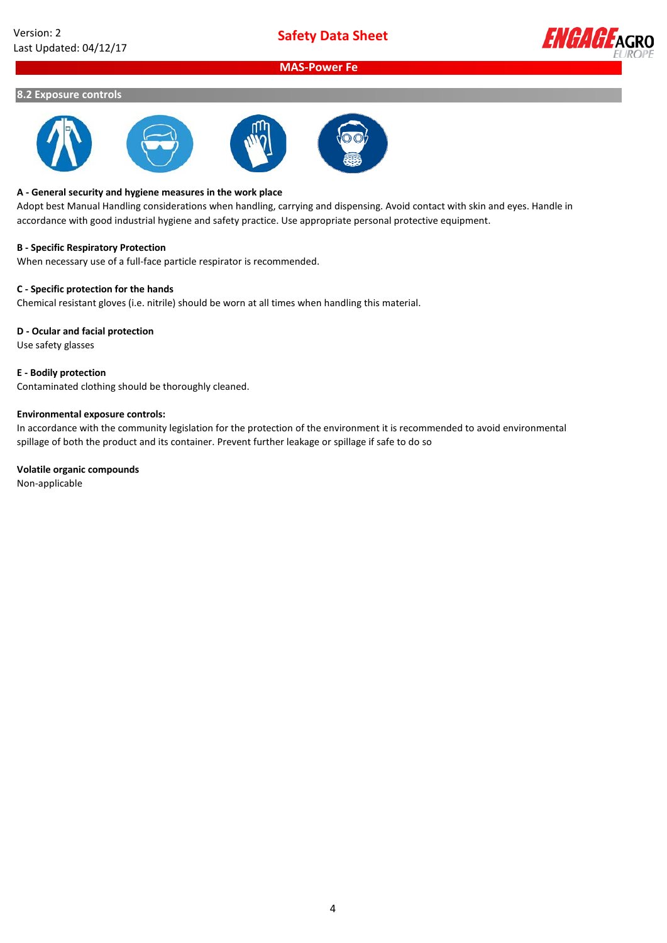

## **MAS-Power Fe**

#### **8.2 Exposure controls**







#### **A - General security and hygiene measures in the work place**

Adopt best Manual Handling considerations when handling, carrying and dispensing. Avoid contact with skin and eyes. Handle in accordance with good industrial hygiene and safety practice. Use appropriate personal protective equipment.

#### **B - Specific Respiratory Protection**

When necessary use of a full-face particle respirator is recommended.

#### **C - Specific protection for the hands**

Chemical resistant gloves (i.e. nitrile) should be worn at all times when handling this material.

#### **D - Ocular and facial protection**

Use safety glasses

#### **E - Bodily protection**

Contaminated clothing should be thoroughly cleaned.

#### **Environmental exposure controls:**

In accordance with the community legislation for the protection of the environment it is recommended to avoid environmental spillage of both the product and its container. Prevent further leakage or spillage if safe to do so

#### **Volatile organic compounds**

Non-applicable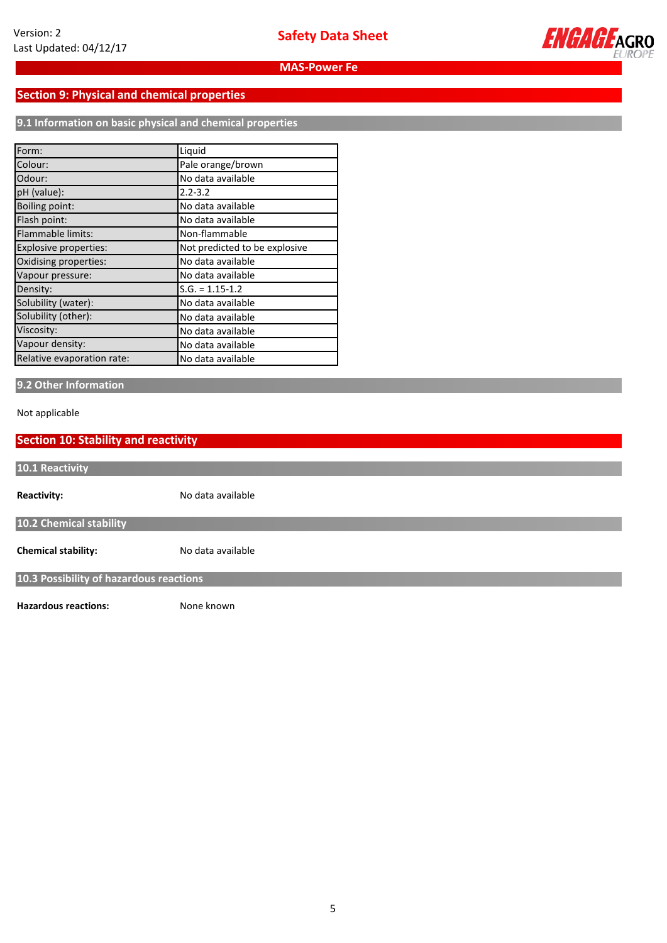

## **Section 9: Physical and chemical properties**

**9.1 Information on basic physical and chemical properties**

| Form:                      | Liquid                        |
|----------------------------|-------------------------------|
| Colour:                    | Pale orange/brown             |
| Odour:                     | No data available             |
| pH (value):                | $2.2 - 3.2$                   |
| Boiling point:             | No data available             |
| Flash point:               | No data available             |
| Flammable limits:          | Non-flammable                 |
| Explosive properties:      | Not predicted to be explosive |
| Oxidising properties:      | No data available             |
| Vapour pressure:           | No data available             |
| Density:                   | $S.G. = 1.15 - 1.2$           |
| Solubility (water):        | No data available             |
| Solubility (other):        | No data available             |
| Viscosity:                 | No data available             |
| Vapour density:            | No data available             |
| Relative evaporation rate: | No data available             |

## **9.2 Other Information**

Not applicable

| <b>Section 10: Stability and reactivity</b> |                   |  |  |  |
|---------------------------------------------|-------------------|--|--|--|
| 10.1 Reactivity                             |                   |  |  |  |
| <b>Reactivity:</b>                          | No data available |  |  |  |
| 10.2 Chemical stability                     |                   |  |  |  |
| <b>Chemical stability:</b>                  | No data available |  |  |  |
| 10.3 Possibility of hazardous reactions     |                   |  |  |  |
| <b>Hazardous reactions:</b>                 | None known        |  |  |  |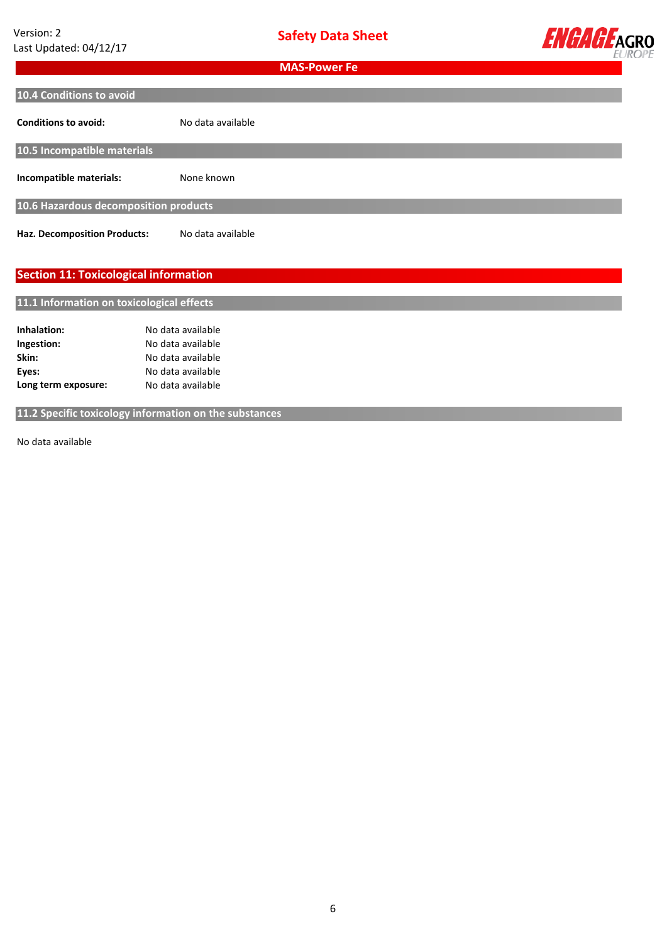

a<br>H

**MAS-Power Fe**

| 10.4 Conditions to avoid                     |                   |
|----------------------------------------------|-------------------|
|                                              |                   |
| <b>Conditions to avoid:</b>                  | No data available |
| 10.5 Incompatible materials                  |                   |
|                                              |                   |
| Incompatible materials:                      | None known        |
| 10.6 Hazardous decomposition products        |                   |
|                                              |                   |
| <b>Haz. Decomposition Products:</b>          | No data available |
|                                              |                   |
|                                              |                   |
| <b>Section 11: Toxicological information</b> |                   |
|                                              |                   |
| 11.1 Information on toxicological effects    |                   |
|                                              |                   |
| Inhalation:                                  | No data available |
| Ingestion:                                   | No data available |
| Skin:                                        | No data available |

**11.2 Specific toxicology information on the substances**

No data available

No data available

No data available **available**

**Long term exposure:**

**Eyes:**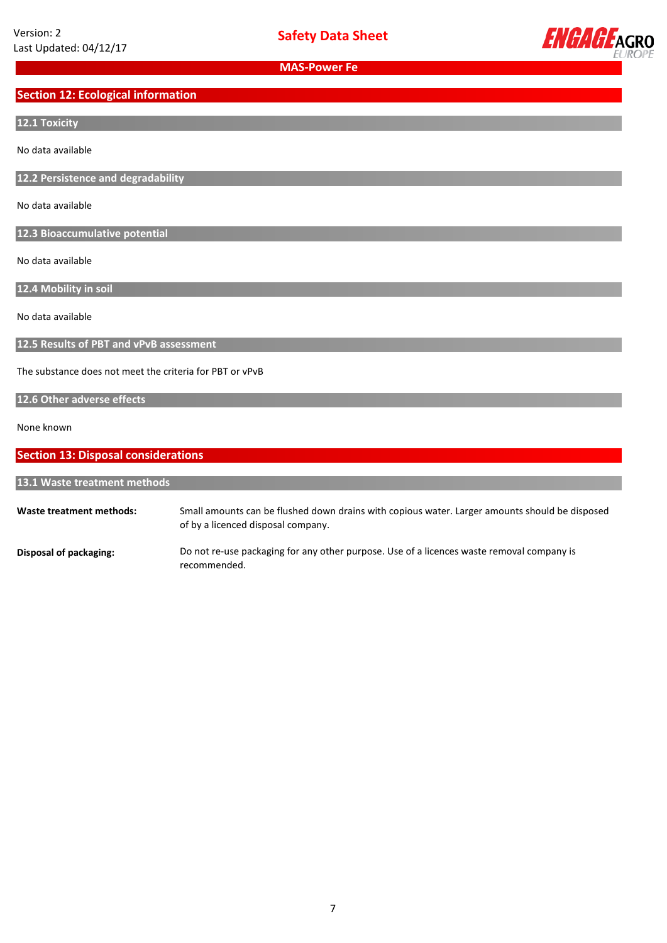

**MAS-Power Fe**

## **Section 12: Ecological information**

## **12.1 Toxicity**

No data available

**12.2 Persistence and degradability**

No data available

**12.3 Bioaccumulative potential**

No data available

**12.4 Mobility in soil**

No data available

**12.5 Results of PBT and vPvB assessment**

The substance does not meet the criteria for PBT or vPvB

## **12.6 Other adverse effects**

#### None known

| <b>Section 13: Disposal considerations</b> |                                                                                                                                      |  |  |  |
|--------------------------------------------|--------------------------------------------------------------------------------------------------------------------------------------|--|--|--|
| 13.1 Waste treatment methods               |                                                                                                                                      |  |  |  |
| Waste treatment methods:                   | Small amounts can be flushed down drains with copious water. Larger amounts should be disposed<br>of by a licenced disposal company. |  |  |  |
| Disposal of packaging:                     | Do not re-use packaging for any other purpose. Use of a licences waste removal company is<br>recommended.                            |  |  |  |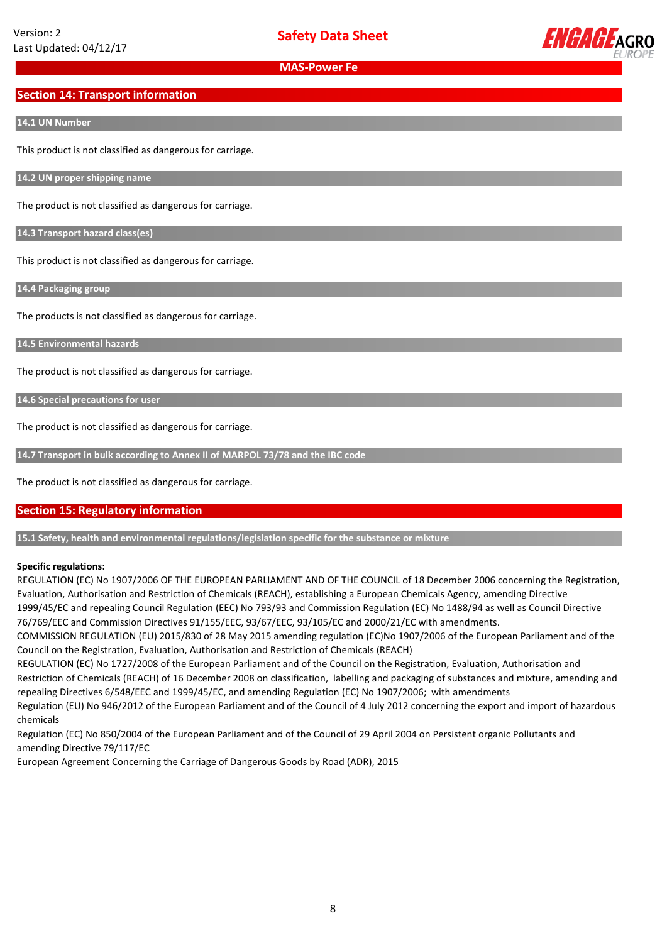

## **Section 14: Transport information**

#### **14.1 UN Number**

This product is not classified as dangerous for carriage.

**14.2 UN proper shipping name**

The product is not classified as dangerous for carriage.

**14.3 Transport hazard class(es)**

This product is not classified as dangerous for carriage.

**14.4 Packaging group**

The products is not classified as dangerous for carriage.

**14.5 Environmental hazards**

The product is not classified as dangerous for carriage.

**14.6 Special precautions for user**

The product is not classified as dangerous for carriage.

**14.7 Transport in bulk according to Annex II of MARPOL 73/78 and the IBC code**

The product is not classified as dangerous for carriage.

#### **Section 15: Regulatory information**

**15.1 Safety, health and environmental regulations/legislation specific for the substance or mixture**

#### **Specific regulations:**

REGULATION (EC) No 1907/2006 OF THE EUROPEAN PARLIAMENT AND OF THE COUNCIL of 18 December 2006 concerning the Registration, Evaluation, Authorisation and Restriction of Chemicals (REACH), establishing a European Chemicals Agency, amending Directive 1999/45/EC and repealing Council Regulation (EEC) No 793/93 and Commission Regulation (EC) No 1488/94 as well as Council Directive 76/769/EEC and Commission Directives 91/155/EEC, 93/67/EEC, 93/105/EC and 2000/21/EC with amendments.

COMMISSION REGULATION (EU) 2015/830 of 28 May 2015 amending regulation (EC)No 1907/2006 of the European Parliament and of the Council on the Registration, Evaluation, Authorisation and Restriction of Chemicals (REACH)

REGULATION (EC) No 1727/2008 of the European Parliament and of the Council on the Registration, Evaluation, Authorisation and Restriction of Chemicals (REACH) of 16 December 2008 on classification, labelling and packaging of substances and mixture, amending and repealing Directives 6/548/EEC and 1999/45/EC, and amending Regulation (EC) No 1907/2006; with amendments

Regulation (EU) No 946/2012 of the European Parliament and of the Council of 4 July 2012 concerning the export and import of hazardous chemicals

Regulation (EC) No 850/2004 of the European Parliament and of the Council of 29 April 2004 on Persistent organic Pollutants and amending Directive 79/117/EC

European Agreement Concerning the Carriage of Dangerous Goods by Road (ADR), 2015